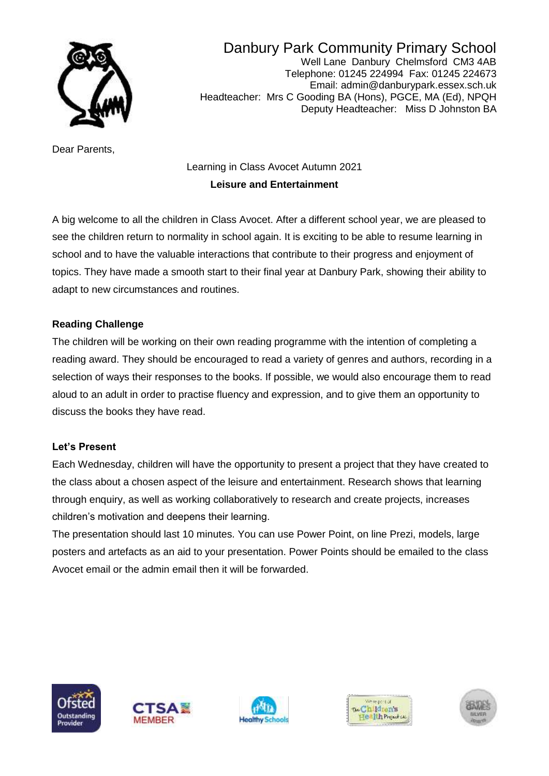

Danbury Park Community Primary School Well Lane Danbury Chelmsford CM3 4AB Telephone: 01245 224994 Fax: 01245 224673 Email: admin@danburypark.essex.sch.uk Headteacher: Mrs C Gooding BA (Hons), PGCE, MA (Ed), NPQH Deputy Headteacher: Miss D Johnston BA

Dear Parents,

# Learning in Class Avocet Autumn 2021 **Leisure and Entertainment**

A big welcome to all the children in Class Avocet. After a different school year, we are pleased to see the children return to normality in school again. It is exciting to be able to resume learning in school and to have the valuable interactions that contribute to their progress and enjoyment of topics. They have made a smooth start to their final year at Danbury Park, showing their ability to adapt to new circumstances and routines.

### **Reading Challenge**

The children will be working on their own reading programme with the intention of completing a reading award. They should be encouraged to read a variety of genres and authors, recording in a selection of ways their responses to the books. If possible, we would also encourage them to read aloud to an adult in order to practise fluency and expression, and to give them an opportunity to discuss the books they have read.

#### **Let's Present**

Each Wednesday, children will have the opportunity to present a project that they have created to the class about a chosen aspect of the leisure and entertainment. Research shows that learning through enquiry, as well as working collaboratively to research and create projects, increases children's motivation and deepens their learning.

The presentation should last 10 minutes. You can use Power Point, on line Prezi, models, large posters and artefacts as an aid to your presentation. Power Points should be emailed to the class Avocet email or the admin email then it will be forwarded.









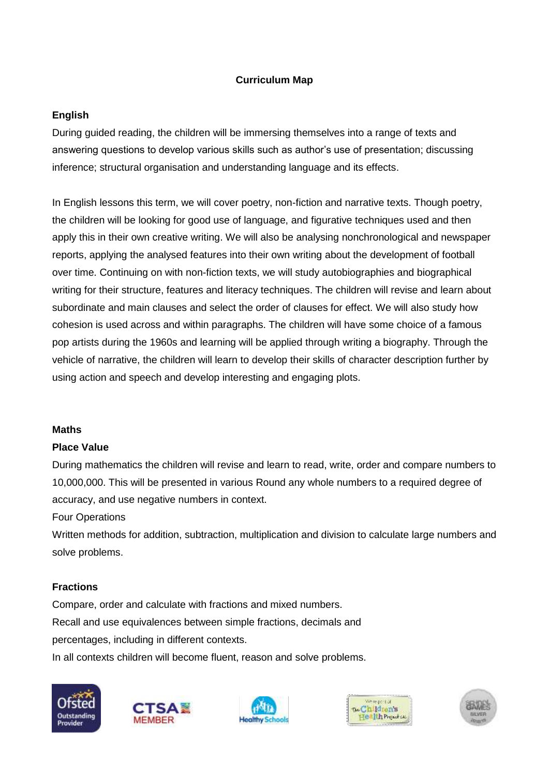## **Curriculum Map**

## **English**

During guided reading, the children will be immersing themselves into a range of texts and answering questions to develop various skills such as author's use of presentation; discussing inference; structural organisation and understanding language and its effects.

In English lessons this term, we will cover poetry, non-fiction and narrative texts. Though poetry, the children will be looking for good use of language, and figurative techniques used and then apply this in their own creative writing. We will also be analysing nonchronological and newspaper reports, applying the analysed features into their own writing about the development of football over time. Continuing on with non-fiction texts, we will study autobiographies and biographical writing for their structure, features and literacy techniques. The children will revise and learn about subordinate and main clauses and select the order of clauses for effect. We will also study how cohesion is used across and within paragraphs. The children will have some choice of a famous pop artists during the 1960s and learning will be applied through writing a biography. Through the vehicle of narrative, the children will learn to develop their skills of character description further by using action and speech and develop interesting and engaging plots.

#### **Maths**

#### **Place Value**

During mathematics the children will revise and learn to read, write, order and compare numbers to 10,000,000. This will be presented in various Round any whole numbers to a required degree of accuracy, and use negative numbers in context.

Four Operations

Written methods for addition, subtraction, multiplication and division to calculate large numbers and solve problems.

#### **Fractions**

Compare, order and calculate with fractions and mixed numbers. Recall and use equivalences between simple fractions, decimals and percentages, including in different contexts.

In all contexts children will become fluent, reason and solve problems.









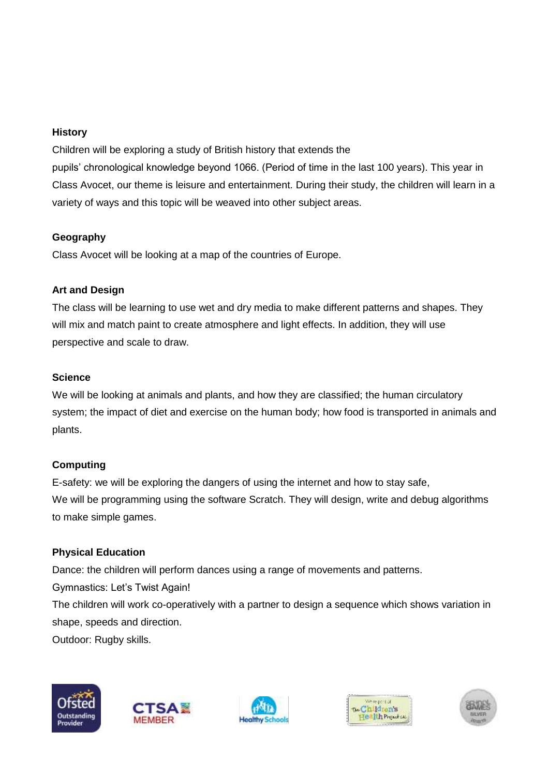## **History**

Children will be exploring a study of British history that extends the pupils' chronological knowledge beyond 1066. (Period of time in the last 100 years). This year in Class Avocet, our theme is leisure and entertainment. During their study, the children will learn in a variety of ways and this topic will be weaved into other subject areas.

## **Geography**

Class Avocet will be looking at a map of the countries of Europe.

# **Art and Design**

The class will be learning to use wet and dry media to make different patterns and shapes. They will mix and match paint to create atmosphere and light effects. In addition, they will use perspective and scale to draw.

# **Science**

We will be looking at animals and plants, and how they are classified; the human circulatory system; the impact of diet and exercise on the human body; how food is transported in animals and plants.

# **Computing**

E-safety: we will be exploring the dangers of using the internet and how to stay safe, We will be programming using the software Scratch. They will design, write and debug algorithms to make simple games.

# **Physical Education**

Dance: the children will perform dances using a range of movements and patterns. Gymnastics: Let's Twist Again! The children will work co-operatively with a partner to design a sequence which shows variation in shape, speeds and direction. Outdoor: Rugby skills.